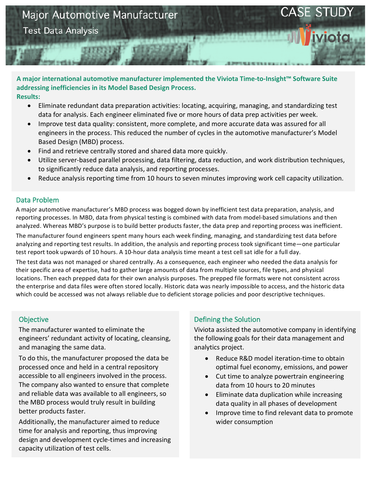# Major Automotive Manufacturer

**Test Data Analysis** 

#### A major international automotive manufacturer implemented the Viviota Time-to-Insight™ Software Suite addressing inefficiencies in its Model Based Design Process. **Results:**

- Eliminate redundant data preparation activities: locating, acquiring, managing, and standardizing test data for analysis. Each engineer eliminated five or more hours of data prep activities per week.
- Improve test data quality: consistent, more complete, and more accurate data was assured for all engineers in the process. This reduced the number of cycles in the automotive manufacturer's Model Based Design (MBD) process.
- Find and retrieve centrally stored and shared data more quickly.
- Utilize server-based parallel processing, data filtering, data reduction, and work distribution techniques, to significantly reduce data analysis, and reporting processes.
- Reduce analysis reporting time from 10 hours to seven minutes improving work cell capacity utilization.

### Data Problem

A major automotive manufacturer's MBD process was bogged down by inefficient test data preparation, analysis, and reporting processes. In MBD, data from physical testing is combined with data from model-based simulations and then analyzed. Whereas MBD's purpose is to build better products faster, the data prep and reporting process was inefficient.

The manufacturer found engineers spent many hours each week finding, managing, and standardizing test data before analyzing and reporting test results. In addition, the analysis and reporting process took significant time—one particular test report took upwards of 10 hours. A 10-hour data analysis time meant a test cell sat idle for a full day.

The test data was not managed or shared centrally. As a consequence, each engineer who needed the data analysis for their specific area of expertise, had to gather large amounts of data from multiple sources, file types, and physical locations. Then each prepped data for their own analysis purposes. The prepped file formats were not consistent across the enterprise and data files were often stored locally. Historic data was nearly impossible to access, and the historic data which could be accessed was not always reliable due to deficient storage policies and poor descriptive techniques.

#### **Objective**

The manufacturer wanted to eliminate the engineers' redundant activity of locating, cleansing, and managing the same data.

To do this, the manufacturer proposed the data be processed once and held in a central repository accessible to all engineers involved in the process. The company also wanted to ensure that complete and reliable data was available to all engineers, so the MBD process would truly result in building better products faster.

Additionally, the manufacturer aimed to reduce time for analysis and reporting, thus improving design and development cycle-times and increasing capacity utilization of test cells.

# Defining the Solution

Viviota assisted the automotive company in identifying the following goals for their data management and analytics project.

CASE ST

- Reduce R&D model iteration-time to obtain optimal fuel economy, emissions, and power
- Cut time to analyze powertrain engineering data from 10 hours to 20 minutes
- Eliminate data duplication while increasing data quality in all phases of development
- Improve time to find relevant data to promote wider consumption